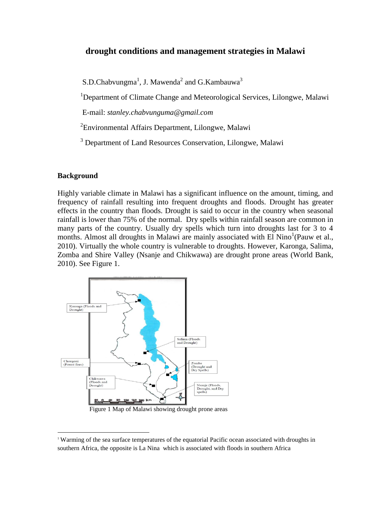# **drought conditions and management strategies in Malawi**

 $S.D.C$ habvungma<sup>1</sup>, J. Mawenda<sup>2</sup> and  $G.K$ ambauwa<sup>3</sup>

<sup>1</sup>Department of Climate Change and Meteorological Services, Lilongwe, Malawi

E-mail: *stanley.chabvunguma@gmail.com*

<sup>2</sup> Environmental Affairs Department, Lilongwe, Malawi

<sup>3</sup> Department of Land Resources Conservation, Lilongwe, Malawi

### **Background**

 $\overline{a}$ 

Highly variable climate in Malawi has a significant influence on the amount, timing, and frequency of rainfall resulting into frequent droughts and floods. Drought has greater effects in the country than floods. Drought is said to occur in the country when seasonal rainfall is lower than 75% of the normal. Dry spells within rainfall season are common in many parts of the country. Usually dry spells which turn into droughts last for 3 to 4 months. Almost all droughts in Malawi are mainly associated with El Nino<sup>1</sup>(Pauw et al., 2010). Virtually the whole country is vulnerable to droughts. However, Karonga, Salima, Zomba and Shire Valley (Nsanje and Chikwawa) are drought prone areas (World Bank, 2010). See Figure 1.



Figure 1 Map of Malawi showing drought prone areas

<sup>1</sup> Warming of the sea surface temperatures of the equatorial Pacific ocean associated with droughts in southern Africa, the opposite is La Nina which is associated with floods in southern Africa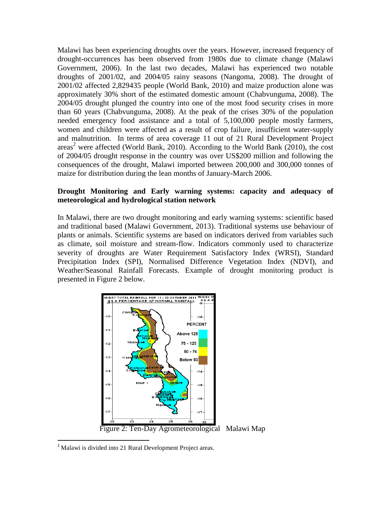Malawi has been experiencing droughts over the years. However, increased frequency of drought-occurrences has been observed from 1980s due to climate change (Malawi Government, 2006). In the last two decades, Malawi has experienced two notable droughts of 2001/02, and 2004/05 rainy seasons (Nangoma, 2008). The drought of 2001/02 affected 2,829435 people (World Bank, 2010) and maize production alone was approximately 30% short of the estimated domestic amount (Chabvunguma, 2008). The 2004/05 drought plunged the country into one of the most food security crises in more than 60 years (Chabvunguma, 2008). At the peak of the crises 30% of the population needed emergency food assistance and a total of 5,100,000 people mostly farmers, women and children were affected as a result of crop failure, insufficient water-supply and malnutrition. In terms of area coverage 11 out of 21 Rural Development Project areas <sup>2</sup> were affected (World Bank, 2010). According to the World Bank (2010), the cost of 2004/05 drought response in the country was over US\$200 million and following the consequences of the drought, Malawi imported between 200,000 and 300,000 tonnes of maize for distribution during the lean months of January-March 2006.

### **Drought Monitoring and Early warning systems: capacity and adequacy of meteorological and hydrological station network**

In Malawi, there are two drought monitoring and early warning systems: scientific based and traditional based (Malawi Government, 2013). Traditional systems use behaviour of plants or animals. Scientific systems are based on indicators derived from variables such as climate, soil moisture and stream-flow. Indicators commonly used to characterize severity of droughts are Water Requirement Satisfactory Index (WRSI), Standard Precipitation Index (SPI), Normalised Difference Vegetation Index (NDVI), and Weather/Seasonal Rainfall Forecasts. Example of drought monitoring product is presented in Figure 2 below.



 $2$  Malawi is divided into 21 Rural Development Project areas.

 $\overline{\phantom{a}}$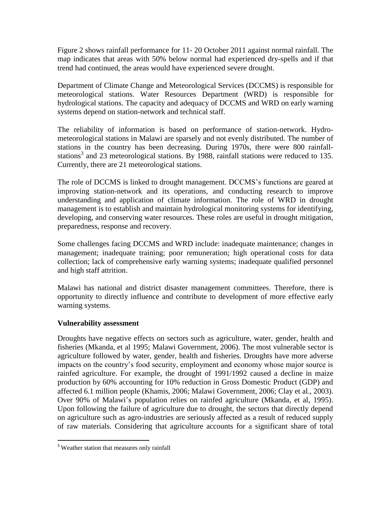Figure 2 shows rainfall performance for 11- 20 October 2011 against normal rainfall. The map indicates that areas with 50% below normal had experienced dry-spells and if that trend had continued, the areas would have experienced severe drought.

Department of Climate Change and Meteorological Services (DCCMS) is responsible for meteorological stations. Water Resources Department (WRD) is responsible for hydrological stations. The capacity and adequacy of DCCMS and WRD on early warning systems depend on station-network and technical staff.

The reliability of information is based on performance of station-network. Hydrometeorological stations in Malawi are sparsely and not evenly distributed. The number of stations in the country has been decreasing. During 1970s, there were 800 rainfallstations<sup>3</sup> and 23 meteorological stations. By 1988, rainfall stations were reduced to 135. Currently, there are 21 meteorological stations.

The role of DCCMS is linked to drought management. DCCMS's functions are geared at improving station-network and its operations, and conducting research to improve understanding and application of climate information. The role of WRD in drought management is to establish and maintain hydrological monitoring systems for identifying, developing, and conserving water resources. These roles are useful in drought mitigation, preparedness, response and recovery.

Some challenges facing DCCMS and WRD include: inadequate maintenance; changes in management; inadequate training; poor remuneration; high operational costs for data collection; lack of comprehensive early warning systems; inadequate qualified personnel and high staff attrition.

Malawi has national and district disaster management committees. Therefore, there is opportunity to directly influence and contribute to development of more effective early warning systems.

# **Vulnerability assessment**

Droughts have negative effects on sectors such as agriculture, water, gender, health and fisheries (Mkanda, et al 1995; Malawi Government, 2006). The most vulnerable sector is agriculture followed by water, gender, health and fisheries. Droughts have more adverse impacts on the country's food security, employment and economy whose major source is rainfed agriculture. For example, the drought of 1991/1992 caused a decline in maize production by 60% accounting for 10% reduction in Gross Domestic Product (GDP) and affected 6.1 million people (Khamis, 2006; Malawi Government, 2006; Clay et al., 2003). Over 90% of Malawi's population relies on rainfed agriculture (Mkanda, et al, 1995). Upon following the failure of agriculture due to drought, the sectors that directly depend on agriculture such as agro-industries are seriously affected as a result of reduced supply of raw materials. Considering that agriculture accounts for a significant share of total

 $\overline{\phantom{a}}$ 

<sup>&</sup>lt;sup>3</sup> Weather station that measures only rainfall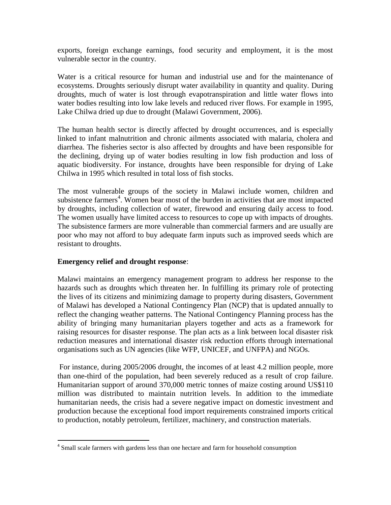exports, foreign exchange earnings, food security and employment, it is the most vulnerable sector in the country.

Water is a critical resource for human and industrial use and for the maintenance of ecosystems. Droughts seriously disrupt water availability in quantity and quality. During droughts, much of water is lost through evapotranspiration and little water flows into water bodies resulting into low lake levels and reduced river flows. For example in 1995, Lake Chilwa dried up due to drought (Malawi Government, 2006).

The human health sector is directly affected by drought occurrences, and is especially linked to infant malnutrition and chronic ailments associated with malaria, cholera and diarrhea. The fisheries sector is also affected by droughts and have been responsible for the declining, drying up of water bodies resulting in low fish production and loss of aquatic biodiversity. For instance, droughts have been responsible for drying of Lake Chilwa in 1995 which resulted in total loss of fish stocks.

The most vulnerable groups of the society in Malawi include women, children and subsistence farmers<sup>4</sup>. Women bear most of the burden in activities that are most impacted by droughts, including collection of water, firewood and ensuring daily access to food. The women usually have limited access to resources to cope up with impacts of droughts. The subsistence farmers are more vulnerable than commercial farmers and are usually are poor who may not afford to buy adequate farm inputs such as improved seeds which are resistant to droughts.

# **Emergency relief and drought response**:

 $\overline{\phantom{a}}$ 

Malawi maintains an emergency management program to address her response to the hazards such as droughts which threaten her. In fulfilling its primary role of protecting the lives of its citizens and minimizing damage to property during disasters, Government of Malawi has developed a National Contingency Plan (NCP) that is updated annually to reflect the changing weather patterns. The National Contingency Planning process has the ability of bringing many humanitarian players together and acts as a framework for raising resources for disaster response. The plan acts as a link between local disaster risk reduction measures and international disaster risk reduction efforts through international organisations such as UN agencies (like WFP, UNICEF, and UNFPA) and NGOs.

For instance, during 2005/2006 drought, the incomes of at least 4.2 million people, more than one-third of the population, had been severely reduced as a result of crop failure. Humanitarian support of around 370,000 metric tonnes of maize costing around US\$110 million was distributed to maintain nutrition levels. In addition to the immediate humanitarian needs, the crisis had a severe negative impact on domestic investment and production because the exceptional food import requirements constrained imports critical to production, notably petroleum, fertilizer, machinery, and construction materials.

<sup>&</sup>lt;sup>4</sup> Small scale farmers with gardens less than one hectare and farm for household consumption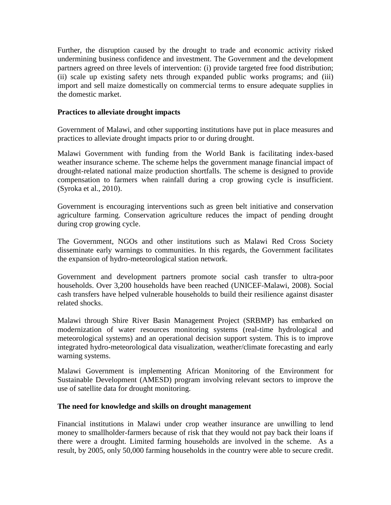Further, the disruption caused by the drought to trade and economic activity risked undermining business confidence and investment. The Government and the development partners agreed on three levels of intervention: (i) provide targeted free food distribution; (ii) scale up existing safety nets through expanded public works programs; and (iii) import and sell maize domestically on commercial terms to ensure adequate supplies in the domestic market.

### **Practices to alleviate drought impacts**

Government of Malawi, and other supporting institutions have put in place measures and practices to alleviate drought impacts prior to or during drought.

Malawi Government with funding from the World Bank is facilitating index-based weather insurance scheme. The scheme helps the government manage financial impact of drought-related national maize production shortfalls. The scheme is designed to provide compensation to farmers when rainfall during a crop growing cycle is insufficient. (Syroka et al., 2010).

Government is encouraging interventions such as green belt initiative and conservation agriculture farming. Conservation agriculture reduces the impact of pending drought during crop growing cycle.

The Government, NGOs and other institutions such as Malawi Red Cross Society disseminate early warnings to communities. In this regards, the Government facilitates the expansion of hydro-meteorological station network.

Government and development partners promote social cash transfer to ultra-poor households. Over 3,200 households have been reached (UNICEF-Malawi, 2008). Social cash transfers have helped vulnerable households to build their resilience against disaster related shocks.

Malawi through Shire River Basin Management Project (SRBMP) has embarked on modernization of water resources monitoring systems (real-time hydrological and meteorological systems) and an operational decision support system. This is to improve integrated hydro-meteorological data visualization, weather/climate forecasting and early warning systems.

Malawi Government is implementing African Monitoring of the Environment for Sustainable Development (AMESD) program involving relevant sectors to improve the use of satellite data for drought monitoring.

### **The need for knowledge and skills on drought management**

Financial institutions in Malawi under crop weather insurance are unwilling to lend money to smallholder-farmers because of risk that they would not pay back their loans if there were a drought. Limited farming households are involved in the scheme. As a result, by 2005, only 50,000 farming households in the country were able to secure credit.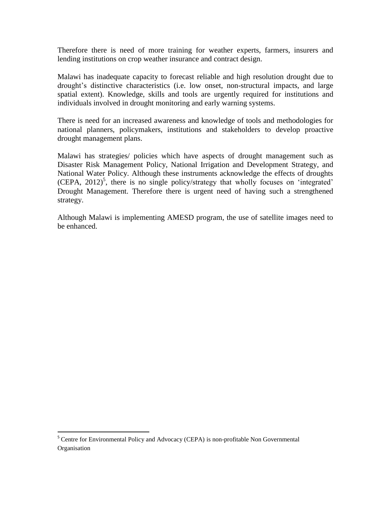Therefore there is need of more training for weather experts, farmers, insurers and lending institutions on crop weather insurance and contract design.

Malawi has inadequate capacity to forecast reliable and high resolution drought due to drought's distinctive characteristics (i.e. low onset, non-structural impacts, and large spatial extent). Knowledge, skills and tools are urgently required for institutions and individuals involved in drought monitoring and early warning systems.

There is need for an increased awareness and knowledge of tools and methodologies for national planners, policymakers, institutions and stakeholders to develop proactive drought management plans.

Malawi has strategies/ policies which have aspects of drought management such as Disaster Risk Management Policy, National Irrigation and Development Strategy, and National Water Policy. Although these instruments acknowledge the effects of droughts (CEPA, 2012) 5 , there is no single policy/strategy that wholly focuses on 'integrated' Drought Management. Therefore there is urgent need of having such a strengthened strategy.

Although Malawi is implementing AMESD program, the use of satellite images need to be enhanced.

 $\overline{a}$ 

<sup>&</sup>lt;sup>5</sup> Centre for Environmental Policy and Advocacy (CEPA) is non-profitable Non Governmental **Organisation**